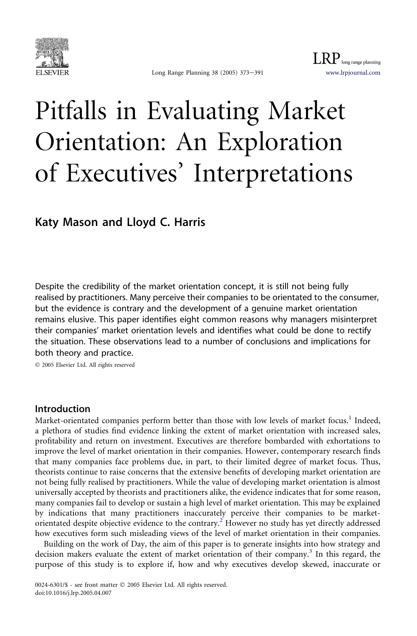

Long Range Planning 38 (2005) 373-391 [www.lrpjournal.com](http://www.lrpjournal.com)

# Pitfalls in Evaluating Market Orientation: An Exploration of Executives' Interpretations

### Katy Mason and Lloyd C. Harris

Despite the credibility of the market orientation concept, it is still not being fully realised by practitioners. Many perceive their companies to be orientated to the consumer, but the evidence is contrary and the development of a genuine market orientation remains elusive. This paper identifies eight common reasons why managers misinterpret their companies' market orientation levels and identifies what could be done to rectify the situation. These observations lead to a number of conclusions and implications for both theory and practice.

2005 Elsevier Ltd. All rights reserved

#### Introduction

Market-orientated companies perform better than those with low levels of market focus.<sup>[1](#page--1-0)</sup> Indeed, a plethora of studies find evidence linking the extent of market orientation with increased sales, profitability and return on investment. Executives are therefore bombarded with exhortations to improve the level of market orientation in their companies. However, contemporary research finds that many companies face problems due, in part, to their limited degree of market focus. Thus, theorists continue to raise concerns that the extensive benefits of developing market orientation are not being fully realised by practitioners. While the value of developing market orientation is almost universally accepted by theorists and practitioners alike, the evidence indicates that for some reason, many companies fail to develop or sustain a high level of market orientation. This may be explained by indications that many practitioners inaccurately perceive their companies to be marketorientated despite objective evidence to the contrary.[2](#page--1-0) However no study has yet directly addressed how executives form such misleading views of the level of market orientation in their companies.

Building on the work of Day, the aim of this paper is to generate insights into how strategy and decision makers evaluate the extent of market orientation of their company.<sup>[3](#page--1-0)</sup> In this regard, the purpose of this study is to explore if, how and why executives develop skewed, inaccurate or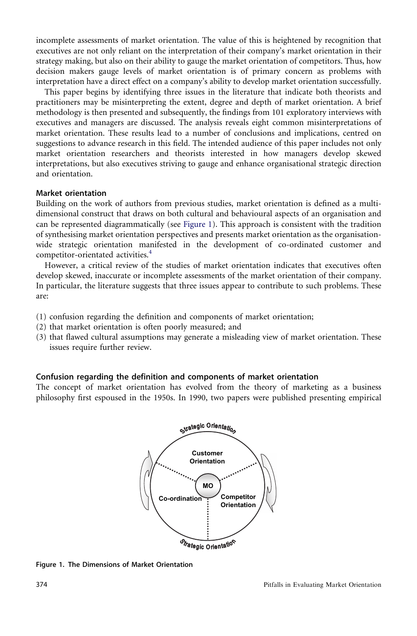incomplete assessments of market orientation. The value of this is heightened by recognition that executives are not only reliant on the interpretation of their company's market orientation in their strategy making, but also on their ability to gauge the market orientation of competitors. Thus, how decision makers gauge levels of market orientation is of primary concern as problems with interpretation have a direct effect on a company's ability to develop market orientation successfully.

This paper begins by identifying three issues in the literature that indicate both theorists and practitioners may be misinterpreting the extent, degree and depth of market orientation. A brief methodology is then presented and subsequently, the findings from 101 exploratory interviews with executives and managers are discussed. The analysis reveals eight common misinterpretations of market orientation. These results lead to a number of conclusions and implications, centred on suggestions to advance research in this field. The intended audience of this paper includes not only market orientation researchers and theorists interested in how managers develop skewed interpretations, but also executives striving to gauge and enhance organisational strategic direction and orientation.

#### Market orientation

Building on the work of authors from previous studies, market orientation is defined as a multidimensional construct that draws on both cultural and behavioural aspects of an organisation and can be represented diagrammatically (see Figure 1). This approach is consistent with the tradition of synthesising market orientation perspectives and presents market orientation as the organisationwide strategic orientation manifested in the development of co-ordinated customer and competitor-orientated activities.<sup>[4](#page--1-0)</sup>

However, a critical review of the studies of market orientation indicates that executives often develop skewed, inaccurate or incomplete assessments of the market orientation of their company. In particular, the literature suggests that three issues appear to contribute to such problems. These are:

- (1) confusion regarding the definition and components of market orientation;
- (2) that market orientation is often poorly measured; and
- (3) that flawed cultural assumptions may generate a misleading view of market orientation. These issues require further review.

#### Confusion regarding the definition and components of market orientation

The concept of market orientation has evolved from the theory of marketing as a business philosophy first espoused in the 1950s. In 1990, two papers were published presenting empirical



Figure 1. The Dimensions of Market Orientation